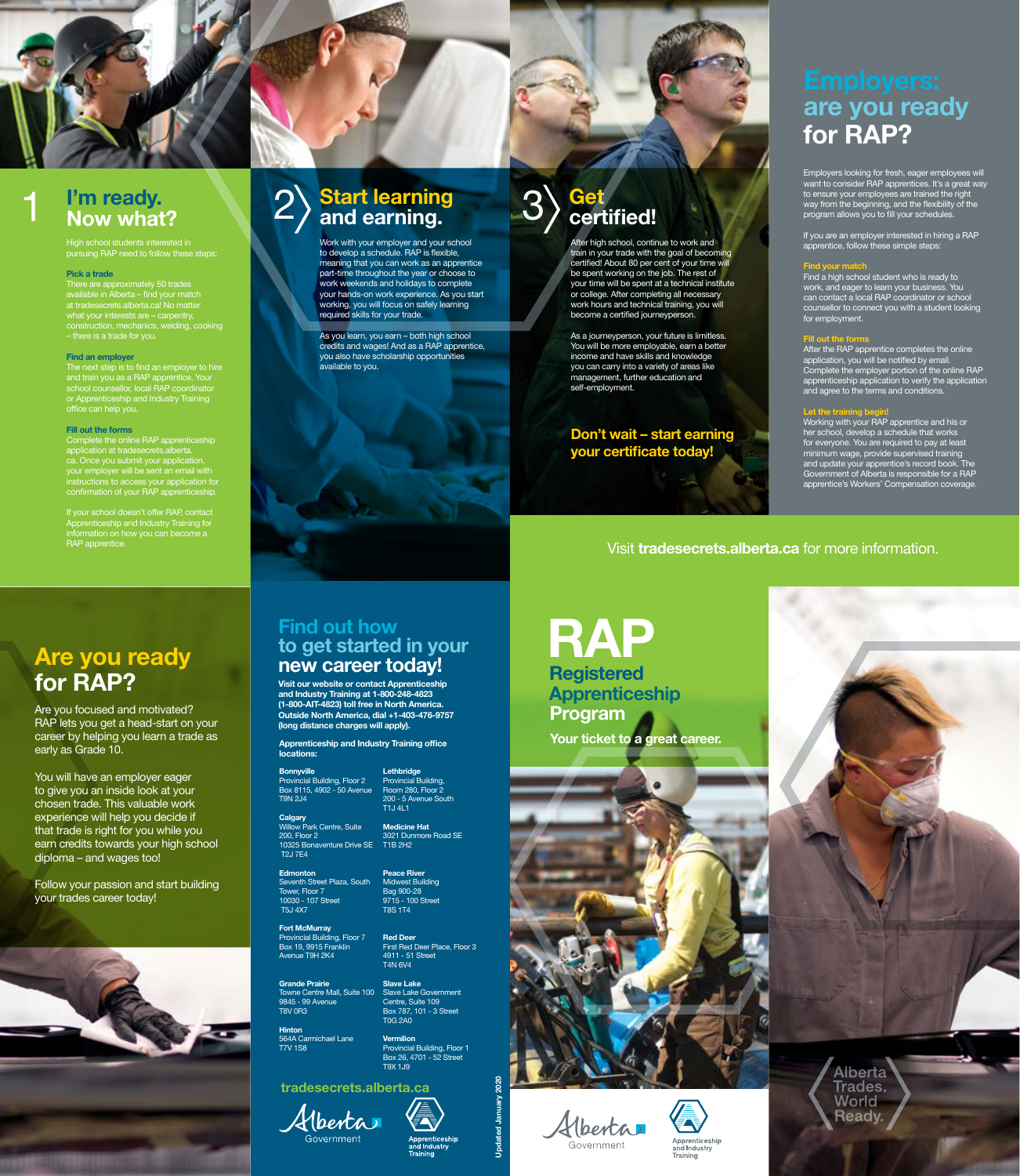

# I'm ready.<br>Now what?

High school students interested in pursuing RAP need to follow these steps:

### Pick a trade

There are approximately 50 trades available in Alberta – find your match at tradesecrets.alberta.ca! No matter what your interests are – carpentry, construction, mechanics, welding, cooking – there is a trade for you.

#### Find an employer

The next step is to find an employer to hire and train you as a RAP apprentice. Your school counsellor, local RAP coordinator or Apprenticeship and Industry Training office can help you.

#### Fill out the forms

Complete the online RAP apprenticeship application at tradesecrets.alberta. ca. Once you submit your application, your employer will be sent an email with instructions to access your application for confirmation of your RAP apprenticeship.

If your school doesn't offer RAP, contact Apprenticeship and Industry Training for information on how you can become a RAP apprentice.

# **Start learning<br>and earning.**

After high school, continue to work and train in your trade with the goal of becoming certified! About 80 per cent of your time will be spent working on the job. The rest of your time will be spent at a technical institute or college. After completing all necessary work hours and technical training, you will become a certified journeyperson.

As a journeyperson, your future is limitless. You will be more employable, earn a better income and have skills and knowledge you can carry into a variety of areas like management, further education and self-employment.

Don't wait – start earning your certificate today!

# **Get** certified!

Employers looking for fresh, eager employees will want to consider RAP apprentices. It's a great way to ensure your employees are trained the right way from the beginning, and the flexibility of the program allows you to fill your schedules.

If you are an employer interested in hiring a RAP apprentice, follow these simple steps:

# <mark>l your matc</mark>

RAP Apprenticeship Program **Registered** 

Your ticket to a great career.





Find a high school student who is ready to work, and eager to learn your business. You can contact a local RAP coordinator or school counsellor to connect you with a student looking for employment.

#### Fill out the forms

After the RAP apprentice completes the online application, you will be notified by email. Complete the employer portion of the online RAP apprenticeship application to verify the application and agree to the terms and conditions.

**Hinton** 564A Carmichael Lane T7V 1S8

**Lethbridge** Provincial Building, Room 280, Floor 2 200 - 5 Avenue South

**Calgary** Willow Park Centre, Suite 200, Floor 2 10325 Bonaventure Drive SE T1B 2H2 T2J 7E4 T1J 4L1 Medicine Hat 3021 Dunmore Road SE

### Let the training begin!

#### **Edmonton** Seventh Street Plaza, South Tower, Floor 7 10030 - 107 Street Peace River **Midwest Building** Bag 900-28 9715 - 100 Street T8S 1T4

Working with your RAP apprentice and his or her school, develop a schedule that works for everyone. You are required to pay at least minimum wage, provide supervised training and update your apprentice's record book. The Government of Alberta is responsible for a RAP apprentice's Workers' Compensation coverage.

Work with your employer and your school to develop a schedule. RAP is flexible, meaning that you can work as an apprentice part-time throughout the year or choose to work weekends and holidays to complete your hands-on work experience. As you start working, you will focus on safely learning required skills for your trade.

As you learn, you earn – both high school credits and wages! And as a RAP apprentice, you also have scholarship opportunities available to you.

# are you ready for RAP?

Visit tradesecrets.alberta.ca for more information.

Are you focused and motivated? RAP lets you get a head-start on your career by helping you learn a trade as early as Grade 10.

You will have an employer eager to give you an inside look at your chosen trade. This valuable work experience will help you decide if that trade is right for you while you earn credits towards your high school diploma – and wages too!

Follow your passion and start building your trades career today!



# Are you ready for RAP?

tradesecrets.alberta.ca



Government Apprenticeship and Industry



Government



Apprenticeship and Industry Training



Visit our website or contact Apprenticeship and Industry Training at 1-800-248-4823 (1-800-AIT-4823) toll free in North America. Outside North America, dial +1-403-476-9757 (long distance charges will apply).

# Find out how to get started in your new career today!

Bonnyville Provincial Building, Floor 2 Box 8115, 4902 - 50 Avenue T9N 2J4

T5J 4X7

Fort McMurray

Provincial Building, Floor 7 Box 19, 9915 Franklin Avenue T9H 2K4

Grande Prairie 9845 - 99 Avenue T8V 0R3

Towne Centre Mall, Suite 100 Slave Lake Government Slave Lake Centre, Suite 109 Box 787, 101 - 3 Street T0G 2A0

Red Deer First Red Deer Place, Floor 3 4911 - 51 Street T4N 6V4

> Vermilion Provincial Building, Floor 1 Box 26, 4701 - 52 Street T9X 1J9

> > Training

Apprenticeship and Industry Training office locations:

Updated January 2020